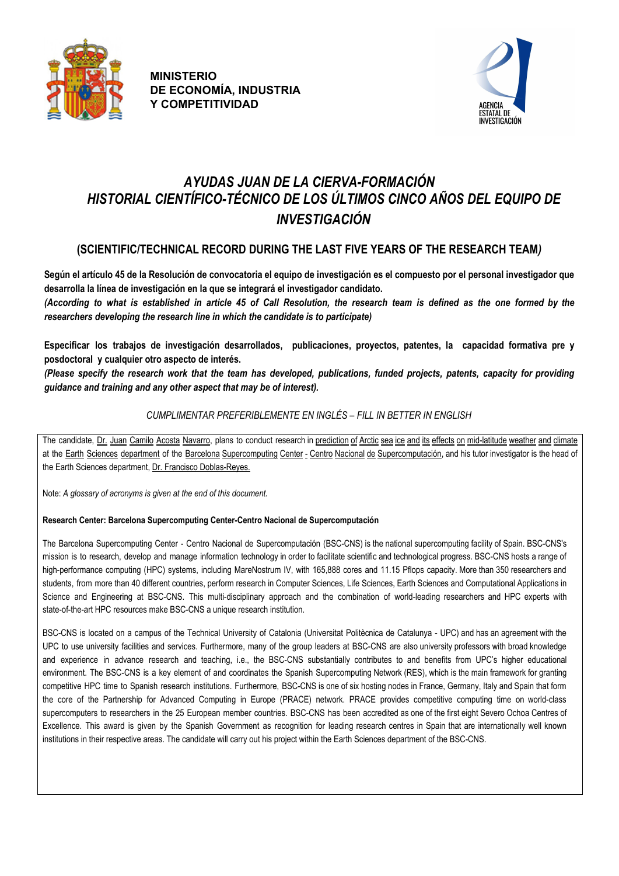



# *AYUDAS JUAN DE LA CIERVA-FORMACIÓN HISTORIAL CIENTÍFICO-TÉCNICO DE LOS ÚLTIMOS CINCO AÑOS DEL EQUIPO DE INVESTIGACIÓN*

# **(SCIENTIFIC/TECHNICAL RECORD DURING THE LAST FIVE YEARS OF THE RESEARCH TEAM***)*

Según el artículo 45 de la Resolución de convocatoria el equipo de investigación es el compuesto por el personal investigador que **desarrolla la línea de investigación en la que se integrará el investigador candidato.**

(According to what is established in article 45 of Call Resolution, the research team is defined as the one formed by the *researchers developing the research line in which the candidate is to participate)*

**Especificar los trabajos de investigación desarrollados, publicaciones, proyectos, patentes, la capacidad formativa pre y posdoctoral y cualquier otro aspecto de interés.**

(Please specify the research work that the team has developed, publications, funded projects, patents, capacity for providing *guidance and training and any other aspect that may be of interest).*

### *CUMPLIMENTAR PREFERIBLEMENTE EN INGLÉS – FILL IN BETTER IN ENGLISH*

The candidate, Dr. Juan Camilo Acosta Navarro, plans to conduct research in prediction of Arctic sea ice and its effects on mid-latitude weather and climate at the Earth Sciences department of the Barcelona Supercomputing Center - Centro Nacional de Supercomputación, and his tutor investigator is the head of the Earth Sciences department, Dr. Francisco Doblas-Reyes.

Note: *A glossary of acronyms is given at the end of this document.*

#### **Research Center: Barcelona Supercomputing Center-Centro Nacional de Supercomputación**

The Barcelona Supercomputing Center - Centro Nacional de Supercomputación (BSC-CNS) is the national supercomputing facility of Spain. BSC-CNS's mission is to research, develop and manage information technology in order to facilitate scientific and technological progress. BSC-CNS hosts a range of high-performance computing (HPC) systems, including MareNostrum IV, with 165,888 cores and 11.15 Pflops capacity. More than 350 researchers and students, from more than 40 different countries, perform research in Computer Sciences, Life Sciences, Earth Sciences and Computational Applications in Science and Engineering at BSC-CNS. This multi-disciplinary approach and the combination of world-leading researchers and HPC experts with state-of-the-art HPC resources make BSC-CNS a unique research institution.

BSC-CNS is located on a campus of the Technical University of Catalonia (Universitat Politècnica de Catalunya - UPC) and has an agreement with the UPC to use university facilities and services. Furthermore, many of the group leaders at BSC-CNS are also university professors with broad knowledge and experience in advance research and teaching, i.e., the BSC-CNS substantially contributes to and benefits from UPC's higher educational environment. The BSC-CNS is a key element of and coordinates the Spanish Supercomputing Network (RES), which is the main framework for granting competitive HPC time to Spanish research institutions. Furthermore, BSC-CNS is one of six hosting nodes in France, Germany, Italy and Spain that form the core of the Partnership for Advanced Computing in Europe (PRACE) network. PRACE provides competitive computing time on world-class supercomputers to researchers in the 25 European member countries. BSC-CNS has been accredited as one of the first eight Severo Ochoa Centres of Excellence. This award is given by the Spanish Government as recognition for leading research centres in Spain that are internationally well known institutions in their respective areas. The candidate will carry out his project within the Earth Sciences department of the BSC-CNS.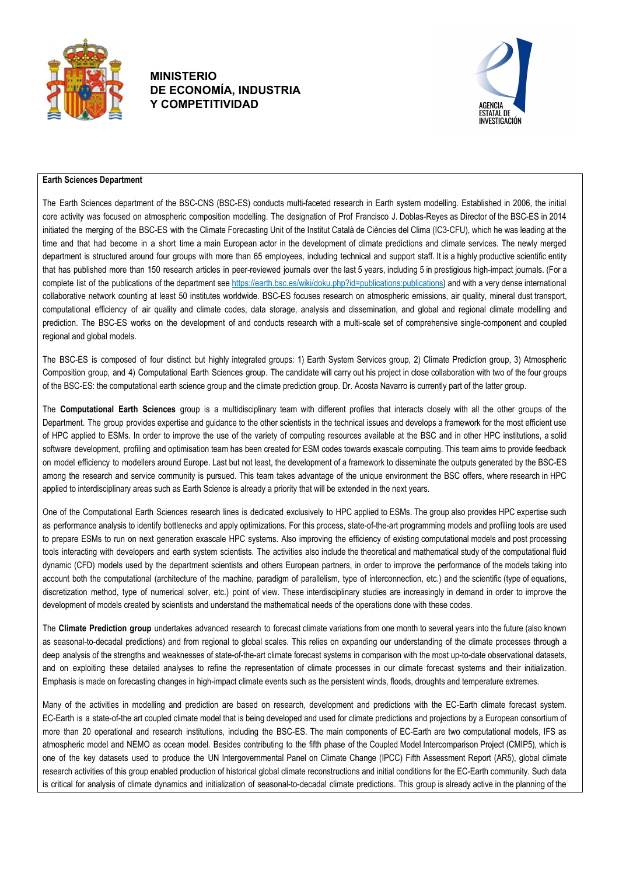



#### **Earth Sciences Department**

The Earth Sciences department of the BSC-CNS (BSC-ES) conducts multi-faceted research in Earth system modelling. Established in 2006, the initial core activity was focused on atmospheric composition modelling. The designation of Prof Francisco J. Doblas-Reyes as Director of the BSC-ES in 2014 initiated the merging of the BSC-ES with the Climate Forecasting Unit of the Institut Català de Ciències del Clima (IC3-CFU), which he was leading at the time and that had become in a short time a main European actor in the development of climate predictions and climate services. The newly merged department is structured around four groups with more than 65 employees, including technical and support staff. It is a highly productive scientific entity that has published more than 150 research articles in peer-reviewed journals over the last 5 years, including 5 in prestigious high-impact journals. (For a complete list of the publications of the department see https://earth.bsc.es/wiki/doku.php?id=publications:publications) and with a very dense international collaborative network counting at least 50 institutes worldwide. BSC-ES focuses research on atmospheric emissions, air quality, mineral dust transport, computational efficiency of air quality and climate codes, data storage, analysis and dissemination, and global and regional climate modelling and prediction. The BSC-ES works on the development of and conducts research with a multi-scale set of comprehensive single-component and coupled regional and global models.

The BSC-ES is composed of four distinct but highly integrated groups: 1) Earth System Services group, 2) Climate Prediction group, 3) Atmospheric Composition group, and 4) Computational Earth Sciences group. The candidate will carry out his project in close collaboration with two of the four groups of the BSC-ES: the computational earth science group and the climate prediction group. Dr. Acosta Navarro is currently part of the latter group.

The **Computational Earth Sciences** group is a multidisciplinary team with different profiles that interacts closely with all the other groups of the Department. The group provides expertise and guidance to the other scientists in the technical issues and develops a framework for the most efficient use of HPC applied to ESMs. In order to improve the use of the variety of computing resources available at the BSC and in other HPC institutions, a solid software development, profiling and optimisation team has been created for ESM codes towards exascale computing. This team aims to provide feedback on model efficiency to modellers around Europe. Last but not least, the development of a framework to disseminate the outputs generated by the BSC-ES among the research and service community is pursued. This team takes advantage of the unique environment the BSC offers, where research in HPC applied to interdisciplinary areas such as Earth Science is already a priority that will be extended in the next years.

One of the Computational Earth Sciences research lines is dedicated exclusively to HPC applied to ESMs. The group also provides HPC expertise such as performance analysis to identify bottlenecks and apply optimizations. For this process, state-of-the-art programming models and profiling tools are used to prepare ESMs to run on next generation exascale HPC systems. Also improving the efficiency of existing computational models and post processing tools interacting with developers and earth system scientists. The activities also include the theoretical and mathematical study of the computational fluid dynamic (CFD) models used by the department scientists and others European partners, in order to improve the performance of the models taking into account both the computational (architecture of the machine, paradigm of parallelism, type of interconnection, etc.) and the scientific (type of equations, discretization method, type of numerical solver, etc.) point of view. These interdisciplinary studies are increasingly in demand in order to improve the development of models created by scientists and understand the mathematical needs of the operations done with these codes.

The **Climate Prediction group** undertakes advanced research to forecast climate variations from one month to several years into the future (also known as seasonal-to-decadal predictions) and from regional to global scales. This relies on expanding our understanding of the climate processes through a deep analysis of the strengths and weaknesses of state-of-the-art climate forecast systems in comparison with the most up-to-date observational datasets, and on exploiting these detailed analyses to refine the representation of climate processes in our climate forecast systems and their initialization. Emphasis is made on forecasting changes in high-impact climate events such as the persistent winds, floods, droughts and temperature extremes.

Many of the activities in modelling and prediction are based on research, development and predictions with the EC-Earth climate forecast system. EC-Earth is a state-of-the art coupled climate model that is being developed and used for climate predictions and projections by a European consortium of more than 20 operational and research institutions, including the BSC-ES. The main components of EC-Earth are two computational models, IFS as atmospheric model and NEMO as ocean model. Besides contributing to the fifth phase of the Coupled Model Intercomparison Project (CMIP5), which is one of the key datasets used to produce the UN Intergovernmental Panel on Climate Change (IPCC) Fifth Assessment Report (AR5), global climate research activities of this group enabled production of historical global climate reconstructions and initial conditions for the EC-Earth community. Such data is critical for analysis of climate dynamics and initialization of seasonal-to-decadal climate predictions. This group is already active in the planning of the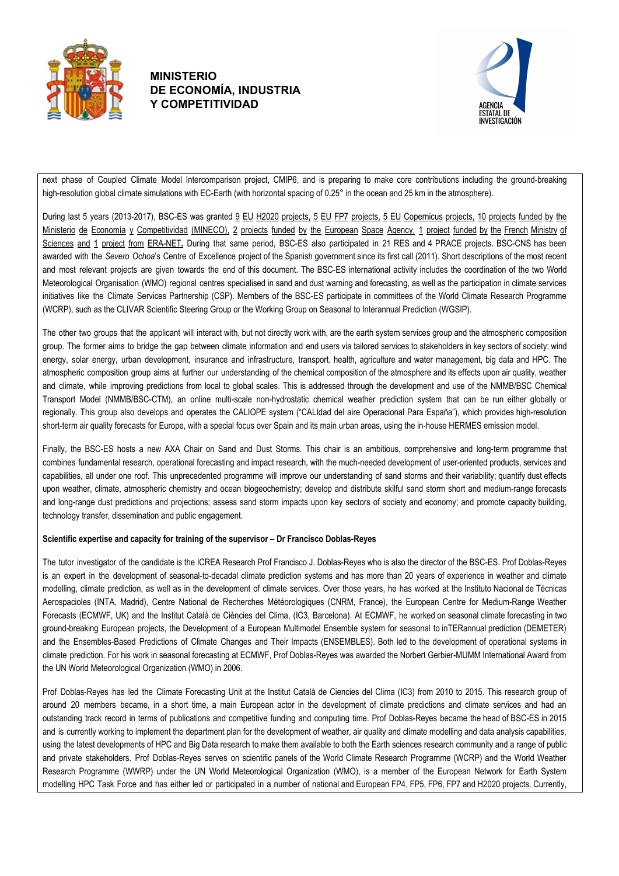



next phase of Coupled Climate Model Intercomparison project, CMIP6, and is preparing to make core contributions including the ground-breaking high-resolution global climate simulations with EC-Earth (with horizontal spacing of 0.25° in the ocean and 25 km in the atmosphere).

During last 5 years (2013-2017), BSC-ES was granted 9 EU H2020 projects, 5 EU FP7 projects, 5 EU Copernicus projects, 10 projects funded by the Ministerio de Economía y Competitividad (MINECO), 2 projects funded by the European Space Agency, 1 project funded by the French Ministry of Sciences and 1 project from ERA-NET. During that same period, BSC-ES also participated in 21 RES and 4 PRACE projects. BSC-CNS has been awarded with the *Severo Ochoa*'s Centre of Excellence project of the Spanish government since its first call (2011). Short descriptions of the most recent and most relevant projects are given towards the end of this document. The BSC-ES international activity includes the coordination of the two World Meteorological Organisation (WMO) regional centres specialised in sand and dust warning and forecasting, as well as the participation in climate services initiatives like the Climate Services Partnership (CSP). Members of the BSC-ES participate in committees of the World Climate Research Programme (WCRP), such as the CLIVAR Scientific Steering Group or the Working Group on Seasonal to Interannual Prediction (WGSIP).

The other two groups that the applicant will interact with, but not directly work with, are the earth system services group and the atmospheric composition group. The former aims to bridge the gap between climate information and end users via tailored services to stakeholders in key sectors of society: wind energy, solar energy, urban development, insurance and infrastructure, transport, health, agriculture and water management, big data and HPC. The atmospheric composition group aims at further our understanding of the chemical composition of the atmosphere and its effects upon air quality, weather and climate, while improving predictions from local to global scales. This is addressed through the development and use of the NMMB/BSC Chemical Transport Model (NMMB/BSC-CTM), an online multi-scale non-hydrostatic chemical weather prediction system that can be run either globally or regionally. This group also develops and operates the CALIOPE system ("CALIdad del aire Operacional Para España"), which provides high-resolution short-term air quality forecasts for Europe, with a special focus over Spain and its main urban areas, using the in-house HERMES emission model.

Finally, the BSC-ES hosts a new AXA Chair on Sand and Dust Storms. This chair is an ambitious, comprehensive and long-term programme that combines fundamental research, operational forecasting and impact research, with the much-needed development of user-oriented products, services and capabilities, all under one roof. This unprecedented programme will improve our understanding of sand storms and their variability; quantify dust effects upon weather, climate, atmospheric chemistry and ocean biogeochemistry; develop and distribute skilful sand storm short and medium-range forecasts and long-range dust predictions and projections; assess sand storm impacts upon key sectors of society and economy; and promote capacity building, technology transfer, dissemination and public engagement.

#### **Scientific expertise and capacity for training of the supervisor – Dr Francisco Doblas-Reyes**

The tutor investigator of the candidate is the ICREA Research Prof Francisco J. Doblas-Reyes who is also the director of the BSC-ES. Prof Doblas-Reyes is an expert in the development of seasonal-to-decadal climate prediction systems and has more than 20 years of experience in weather and climate modelling, climate prediction, as well as in the development of climate services. Over those years, he has worked at the Instituto Nacional de Técnicas Aerospacioles (INTA, Madrid), Centre National de Recherches Météorologiques (CNRM, France), the European Centre for Medium-Range Weather Forecasts (ECMWF, UK) and the Institut Català de Ciències del Clima, (IC3, Barcelona). At ECMWF, he worked on seasonal climate forecasting in two ground-breaking European projects, the Development of a European Multimodel Ensemble system for seasonal to inTERannual prediction (DEMETER) and the Ensembles-Based Predictions of Climate Changes and Their Impacts (ENSEMBLES). Both led to the development of operational systems in climate prediction. For his work in seasonal forecasting at ECMWF, Prof Doblas-Reyes was awarded the Norbert Gerbier-MUMM International Award from the UN World Meteorological Organization (WMO) in 2006.

Prof Doblas-Reyes has led the Climate Forecasting Unit at the Institut Català de Ciencies del Clima (IC3) from 2010 to 2015. This research group of around 20 members became, in a short time, a main European actor in the development of climate predictions and climate services and had an outstanding track record in terms of publications and competitive funding and computing time. Prof Doblas-Reyes became the head of BSC-ES in 2015 and is currently working to implement the department plan for the development of weather, air quality and climate modelling and data analysis capabilities, using the latest developments of HPC and Big Data research to make them available to both the Earth sciences research community and a range of public and private stakeholders. Prof Doblas-Reyes serves on scientific panels of the World Climate Research Programme (WCRP) and the World Weather Research Programme (WWRP) under the UN World Meteorological Organization (WMO), is a member of the European Network for Earth System modelling HPC Task Force and has either led or participated in a number of national and European FP4, FP5, FP6, FP7 and H2020 projects. Currently,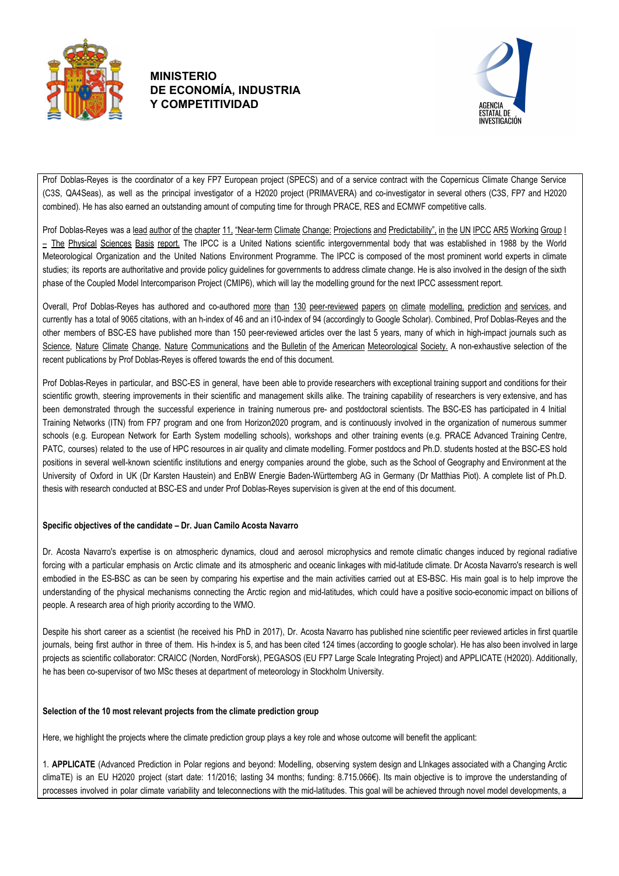



Prof Doblas-Reyes is the coordinator of a key FP7 European project (SPECS) and of a service contract with the Copernicus Climate Change Service (C3S, QA4Seas), as well as the principal investigator of a H2020 project (PRIMAVERA) and co-investigator in several others (C3S, FP7 and H2020 combined). He has also earned an outstanding amount of computing time for through PRACE, RES and ECMWF competitive calls.

Prof Doblas-Reyes was a lead author of the chapter 11, "Near-term Climate Change: Projections and Predictability", in the UN IPCC AR5 Working Group I  $=$  The Physical Sciences Basis report. The IPCC is a United Nations scientific intergovernmental body that was established in 1988 by the World Meteorological Organization and the United Nations Environment Programme. The IPCC is composed of the most prominent world experts in climate studies; its reports are authoritative and provide policy guidelines for governments to address climate change. He is also involved in the design of the sixth phase of the Coupled Model Intercomparison Project (CMIP6), which will lay the modelling ground for the next IPCC assessment report.

Overall, Prof Doblas-Reyes has authored and co-authored more than 130 peer-reviewed papers on climate modelling, prediction and services, and currently has a total of 9065 citations, with an h-index of 46 and an i10-index of 94 (accordingly to Google Scholar). Combined, Prof Doblas-Reyes and the other members of BSC-ES have published more than 150 peer-reviewed articles over the last 5 years, many of which in high-impact journals such as Science, Nature Climate Change, Nature Communications and the Bulletin of the American Meteorological Society. A non-exhaustive selection of the recent publications by Prof Doblas-Reyes is offered towards the end of this document.

Prof Doblas-Reyes in particular, and BSC-ES in general, have been able to provide researchers with exceptional training support and conditions for their scientific growth, steering improvements in their scientific and management skills alike. The training capability of researchers is very extensive, and has been demonstrated through the successful experience in training numerous pre- and postdoctoral scientists. The BSC-ES has participated in 4 Initial Training Networks (ITN) from FP7 program and one from Horizon2020 program, and is continuously involved in the organization of numerous summer schools (e.g. European Network for Earth System modelling schools), workshops and other training events (e.g. PRACE Advanced Training Centre, PATC, courses) related to the use of HPC resources in air quality and climate modelling. Former postdocs and Ph.D. students hosted at the BSC-ES hold positions in several well-known scientific institutions and energy companies around the globe, such as the School of Geography and Environment at the University of Oxford in UK (Dr Karsten Haustein) and EnBW Energie Baden-Württemberg AG in Germany (Dr Matthias Piot). A complete list of Ph.D. thesis with research conducted at BSC-ES and under Prof Doblas-Reyes supervision is given at the end of this document.

#### **Specific objectives of the candidate – Dr. Juan Camilo Acosta Navarro**

Dr. Acosta Navarro's expertise is on atmospheric dynamics, cloud and aerosol microphysics and remote climatic changes induced by regional radiative forcing with a particular emphasis on Arctic climate and its atmospheric and oceanic linkages with mid-latitude climate. Dr Acosta Navarro's research is well embodied in the ES-BSC as can be seen by comparing his expertise and the main activities carried out at ES-BSC. His main goal is to help improve the understanding of the physical mechanisms connecting the Arctic region and mid-latitudes, which could have a positive socio-economic impact on billions of people. A research area of high priority according to the WMO.

Despite his short career as a scientist (he received his PhD in 2017), Dr. Acosta Navarro has published nine scientific peer reviewed articles in first quartile journals, being first author in three of them. His h-index is 5, and has been cited 124 times (according to google scholar). He has also been involved in large projects as scientific collaborator: CRAICC (Norden, NordForsk), PEGASOS (EU FP7 Large Scale Integrating Project) and APPLICATE (H2020). Additionally, he has been co-supervisor of two MSc theses at department of meteorology in Stockholm University.

#### **Selection of the 10 most relevant projects from the climate prediction group**

Here, we highlight the projects where the climate prediction group plays a key role and whose outcome will benefit the applicant:

1. **APPLICATE** (Advanced Prediction in Polar regions and beyond: Modelling, observing system design and LInkages associated with a Changing Arctic climaTE) is an EU H2020 project (start date: 11/2016; lasting 34 months; funding: 8.715.066€). Its main objective is to improve the understanding of processes involved in polar climate variability and teleconnections with the mid-latitudes. This goal will be achieved through novel model developments, a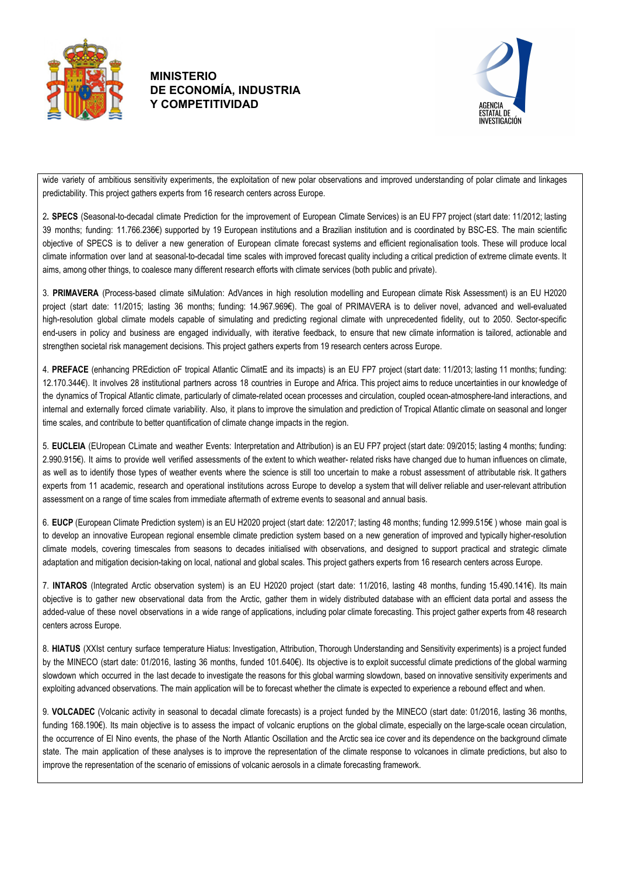



wide variety of ambitious sensitivity experiments, the exploitation of new polar observations and improved understanding of polar climate and linkages predictability. This project gathers experts from 16 research centers across Europe.

2**. SPECS** (Seasonal-to-decadal climate Prediction for the improvement of European Climate Services) is an EU FP7 project (start date: 11/2012; lasting 39 months; funding: 11.766.236€) supported by 19 European institutions and a Brazilian institution and is coordinated by BSC-ES. The main scientific objective of SPECS is to deliver a new generation of European climate forecast systems and efficient regionalisation tools. These will produce local climate information over land at seasonal-to-decadal time scales with improved forecast quality including a critical prediction of extreme climate events. It aims, among other things, to coalesce many different research efforts with climate services (both public and private).

3. **PRIMAVERA** (Process-based climate siMulation: AdVances in high resolution modelling and European climate Risk Assessment) is an EU H2020 project (start date: 11/2015; lasting 36 months; funding: 14.967.969€). The goal of PRIMAVERA is to deliver novel, advanced and well-evaluated high-resolution global climate models capable of simulating and predicting regional climate with unprecedented fidelity, out to 2050. Sector-specific end-users in policy and business are engaged individually, with iterative feedback, to ensure that new climate information is tailored, actionable and strengthen societal risk management decisions. This project gathers experts from 19 research centers across Europe.

4. **PREFACE** (enhancing PREdiction oF tropical Atlantic ClimatE and its impacts) is an EU FP7 project (start date: 11/2013; lasting 11 months; funding: 12.170.344€). It involves 28 institutional partners across 18 countries in Europe and Africa. This project aims to reduce uncertainties in our knowledge of the dynamics of Tropical Atlantic climate, particularly of climate-related ocean processes and circulation, coupled ocean-atmosphere-land interactions, and internal and externally forced climate variability. Also, it plans to improve the simulation and prediction of Tropical Atlantic climate on seasonal and longer time scales, and contribute to better quantification of climate change impacts in the region.

5. **EUCLEIA** (EUropean CLimate and weather Events: Interpretation and Attribution) is an EU FP7 project (start date: 09/2015; lasting 4 months; funding: 2.990.915€). It aims to provide well verified assessments of the extent to which weather- related risks have changed due to human influences on climate, as well as to identify those types of weather events where the science is still too uncertain to make a robust assessment of attributable risk. It gathers experts from 11 academic, research and operational institutions across Europe to develop a system that will deliver reliable and user-relevant attribution assessment on a range of time scales from immediate aftermath of extreme events to seasonal and annual basis.

6. **EUCP** (European Climate Prediction system) is an EU H2020 project (start date: 12/2017; lasting 48 months; funding 12.999.515€ ) whose main goal is to develop an innovative European regional ensemble climate prediction system based on a new generation of improved and typically higher-resolution climate models, covering timescales from seasons to decades initialised with observations, and designed to support practical and strategic climate adaptation and mitigation decision-taking on local, national and global scales. This project gathers experts from 16 research centers across Europe.

7. **INTAROS** (Integrated Arctic observation system) is an EU H2020 project (start date: 11/2016, lasting 48 months, funding 15.490.141€). Its main objective is to gather new observational data from the Arctic, gather them in widely distributed database with an efficient data portal and assess the added-value of these novel observations in a wide range of applications, including polar climate forecasting. This project gather experts from 48 research centers across Europe.

8. **HIATUS** (XXIst century surface temperature Hiatus: Investigation, Attribution, Thorough Understanding and Sensitivity experiments) is a project funded by the MINECO (start date: 01/2016, lasting 36 months, funded 101.640€). Its objective is to exploit successful climate predictions of the global warming slowdown which occurred in the last decade to investigate the reasons for this global warming slowdown, based on innovative sensitivity experiments and exploiting advanced observations. The main application will be to forecast whether the climate is expected to experience a rebound effect and when.

9. **VOLCADEC** (Volcanic activity in seasonal to decadal climate forecasts) is a project funded by the MINECO (start date: 01/2016, lasting 36 months, funding 168.190€). Its main objective is to assess the impact of volcanic eruptions on the global climate, especially on the large-scale ocean circulation, the occurrence of El Nino events, the phase of the North Atlantic Oscillation and the Arctic sea ice cover and its dependence on the background climate state. The main application of these analyses is to improve the representation of the climate response to volcanoes in climate predictions, but also to improve the representation of the scenario of emissions of volcanic aerosols in a climate forecasting framework.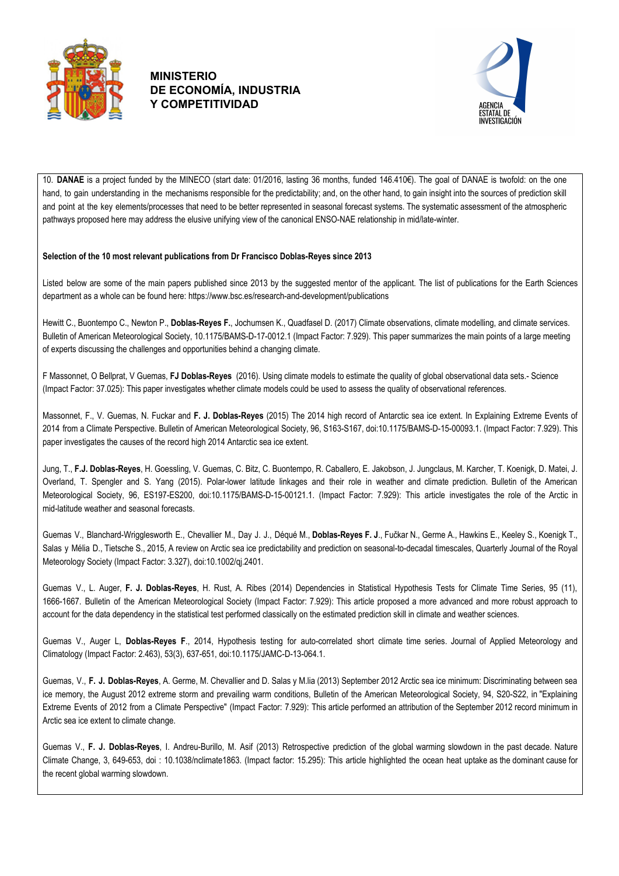



10. **DANAE** is a project funded by the MINECO (start date: 01/2016, lasting 36 months, funded 146.410€). The goal of DANAE is twofold: on the one hand, to gain understanding in the mechanisms responsible for the predictability; and, on the other hand, to gain insight into the sources of prediction skill and point at the key elements/processes that need to be better represented in seasonal forecast systems. The systematic assessment of the atmospheric pathways proposed here may address the elusive unifying view of the canonical ENSO-NAE relationship in mid/late-winter.

#### **Selection of the 10 most relevant publications from Dr Francisco Doblas-Reyes since 2013**

Listed below are some of the main papers published since 2013 by the suggested mentor of the applicant. The list of publications for the Earth Sciences department as a whole can be found here: https://www.bsc.es/research-and-development/publications

Hewitt C., Buontempo C., Newton P., **Doblas-Reyes F.**, Jochumsen K., Quadfasel D. (2017) Climate observations, climate modelling, and climate services. Bulletin of American Meteorological Society, 10.1175/BAMS-D-17-0012.1 (Impact Factor: 7.929). This paper summarizes the main points of a large meeting of experts discussing the challenges and opportunities behind a changing climate.

F Massonnet, O Bellprat, V Guemas, **FJ Doblas-Reyes** (2016). Using climate models to estimate the quality of global observational data sets.- Science (Impact Factor: 37.025): This paper investigates whether climate models could be used to assess the quality of observational references.

Massonnet, F., V. Guemas, N. Fuckar and **F. J. Doblas-Reyes** (2015) The 2014 high record of Antarctic sea ice extent. In Explaining Extreme Events of 2014 from a Climate Perspective. Bulletin of American Meteorological Society, 96, S163-S167, doi:10.1175/BAMS-D-15-00093.1. (Impact Factor: 7.929). This paper investigates the causes of the record high 2014 Antarctic sea ice extent.

Jung, T., **F.J. Doblas-Reyes**, H. Goessling, V. Guemas, C. Bitz, C. Buontempo, R. Caballero, E. Jakobson, J. Jungclaus, M. Karcher, T. Koenigk, D. Matei, J. Overland, T. Spengler and S. Yang (2015). Polar-lower latitude linkages and their role in weather and climate prediction. Bulletin of the American Meteorological Society, 96, ES197-ES200, doi:10.1175/BAMS-D-15-00121.1. (Impact Factor: 7.929): This article investigates the role of the Arctic in mid-latitude weather and seasonal forecasts.

Guemas V., Blanchard-Wrigglesworth E., Chevallier M., Day J. J., Déqué M., **Doblas-Reyes F. J**., Fučkar N., Germe A., Hawkins E., Keeley S., Koenigk T., Salas y Mélia D., Tietsche S., 2015, A review on Arctic sea ice predictability and prediction on seasonal-to-decadal timescales, Quarterly Journal of the Royal Meteorology Society (Impact Factor: 3.327), doi:10.1002/qj.2401.

Guemas V., L. Auger, **F. J. Doblas-Reyes**, H. Rust, A. Ribes (2014) Dependencies in Statistical Hypothesis Tests for Climate Time Series, 95 (11), 1666-1667. Bulletin of the American Meteorological Society (Impact Factor: 7.929): This article proposed a more advanced and more robust approach to account for the data dependency in the statistical test performed classically on the estimated prediction skill in climate and weather sciences.

Guemas V., Auger L, **Doblas-Reyes F**., 2014, Hypothesis testing for auto-correlated short climate time series. Journal of Applied Meteorology and Climatology (Impact Factor: 2.463), 53(3), 637-651, doi:10.1175/JAMC-D-13-064.1.

Guemas, V., **F. J. Doblas-Reyes**, A. Germe, M. Chevallier and D. Salas y M.lia (2013) September 2012 Arctic sea ice minimum: Discriminating between sea ice memory, the August 2012 extreme storm and prevailing warm conditions, Bulletin of the American Meteorological Society, 94, S20-S22, in "Explaining Extreme Events of 2012 from a Climate Perspective" (Impact Factor: 7.929): This article performed an attribution of the September 2012 record minimum in Arctic sea ice extent to climate change.

Guemas V., **F. J. Doblas-Reyes**, I. Andreu-Burillo, M. Asif (2013) Retrospective prediction of the global warming slowdown in the past decade. Nature Climate Change, 3, 649-653, doi : 10.1038/nclimate1863. (Impact factor: 15.295): This article highlighted the ocean heat uptake as the dominant cause for the recent global warming slowdown.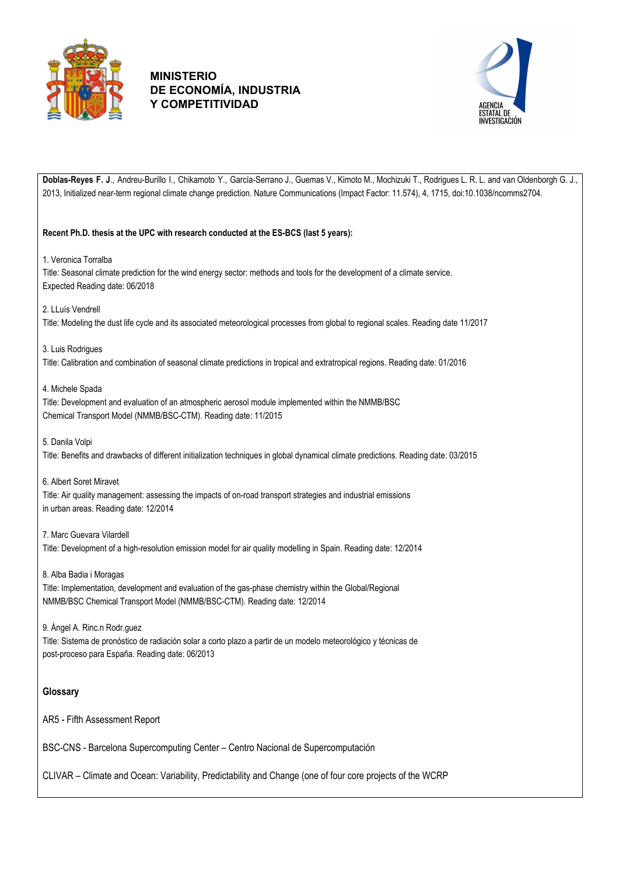



**Doblas-Reyes F. J**., Andreu-Burillo I., Chikamoto Y., García-Serrano J., Guemas V., Kimoto M., Mochizuki T., Rodrigues L. R. L. and van Oldenborgh G. J., 2013, Initialized near-term regional climate change prediction. Nature Communications (Impact Factor: 11.574), 4, 1715, doi:10.1038/ncomms2704. **Recent Ph.D. thesis at the UPC with research conducted at the ES-BCS (last 5 years):** 1. Veronica Torralba Title: Seasonal climate prediction for the wind energy sector: methods and tools for the development of a climate service. Expected Reading date: 06/2018 2. LLuís Vendrell Title: Modeling the dust life cycle and its associated meteorological processes from global to regional scales. Reading date 11/2017 3. Luis Rodrigues Title: Calibration and combination of seasonal climate predictions in tropical and extratropical regions. Reading date: 01/2016 4. Michele Spada Title: Development and evaluation of an atmospheric aerosol module implemented within the NMMB/BSC Chemical Transport Model (NMMB/BSC-CTM). Reading date: 11/2015 5. Danila Volpi Title: Benefits and drawbacks of different initialization techniques in global dynamical climate predictions. Reading date: 03/2015 6. Albert Soret Miravet Title: Air quality management: assessing the impacts of on-road transport strategies and industrial emissions in urban areas. Reading date: 12/2014 7. Marc Guevara Vilardell Title: Development of a high-resolution emission model for air quality modelling in Spain. Reading date: 12/2014 8. Alba Badia i Moragas Title: Implementation, development and evaluation of the gas-phase chemistry within the Global/Regional NMMB/BSC Chemical Transport Model (NMMB/BSC-CTM). Reading date: 12/2014 9. Ángel A. Rinc.n Rodr.guez Title: Sistema de pronóstico de radiación solar a corto plazo a partir de un modelo meteorológico y técnicas de post-proceso para España. Reading date: 06/2013 **Glossary** AR5 - Fifth Assessment Report BSC-CNS - Barcelona Supercomputing Center – Centro Nacional de Supercomputación

CLIVAR – Climate and Ocean: Variability, Predictability and Change (one of four core projects of the WCRP